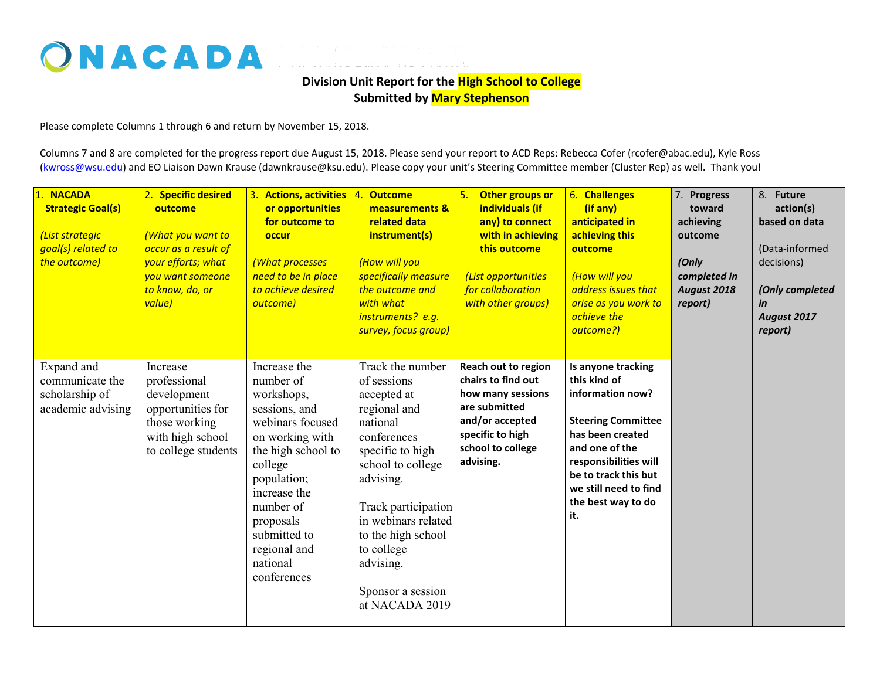## ONACADA FOR ACADEMIC ADVISING

**Division Unit Report for the High School to College Submitted by Mary Stephenson**

Please complete Columns 1 through 6 and return by November 15, 2018.

Columns 7 and 8 are completed for the progress report due August 15, 2018. Please send your report to ACD Reps: Rebecca Cofer (rcofer@abac.edu), Kyle Ross [\(kwross@wsu.edu\)](mailto:kwross@wsu.edu) and EO Liaison Dawn Krause (dawnkrause@ksu.edu). Please copy your unit's Steering Committee member (Cluster Rep) as well. Thank you!

| 1. NACADA<br><b>Strategic Goal(s)</b><br>(List strategic<br>goal(s) related to<br>the outcome) | 2. Specific desired<br>outcome<br>(What you want to<br>occur as a result of<br>your efforts; what<br>you want someone<br>to know, do, or<br>value) | 3. Actions, activities<br>or opportunities<br>for outcome to<br>occur<br>(What processes<br>need to be in place<br>to achieve desired<br>outcome)                                                                                                    | 4. Outcome<br>measurements &<br>related data<br>instrument(s)<br>(How will you<br>specifically measure<br>the outcome and<br>with what<br>instruments? e.g.<br>survey, focus group)                                                                                                   | l5.<br>Other groups or<br>individuals (if<br>any) to connect<br>with in achieving<br>this outcome<br>(List opportunities<br>for collaboration<br>with other groups) | 6. Challenges<br>(if any)<br>anticipated in<br>achieving this<br>outcome<br>(How will you<br>address issues that<br>arise as you work to<br>achieve the<br>outcome?)                                                             | 7. Progress<br>toward<br>achieving<br>outcome<br>(Only<br>completed in<br>August 2018<br>report) | 8. Future<br>action(s)<br>based on data<br>(Data-informed<br>decisions)<br>(Only completed<br>in<br>August 2017<br>report) |
|------------------------------------------------------------------------------------------------|----------------------------------------------------------------------------------------------------------------------------------------------------|------------------------------------------------------------------------------------------------------------------------------------------------------------------------------------------------------------------------------------------------------|---------------------------------------------------------------------------------------------------------------------------------------------------------------------------------------------------------------------------------------------------------------------------------------|---------------------------------------------------------------------------------------------------------------------------------------------------------------------|----------------------------------------------------------------------------------------------------------------------------------------------------------------------------------------------------------------------------------|--------------------------------------------------------------------------------------------------|----------------------------------------------------------------------------------------------------------------------------|
| Expand and<br>communicate the<br>scholarship of<br>academic advising                           | Increase<br>professional<br>development<br>opportunities for<br>those working<br>with high school<br>to college students                           | Increase the<br>number of<br>workshops,<br>sessions, and<br>webinars focused<br>on working with<br>the high school to<br>college<br>population;<br>increase the<br>number of<br>proposals<br>submitted to<br>regional and<br>national<br>conferences | Track the number<br>of sessions<br>accepted at<br>regional and<br>national<br>conferences<br>specific to high<br>school to college<br>advising.<br>Track participation<br>in webinars related<br>to the high school<br>to college<br>advising.<br>Sponsor a session<br>at NACADA 2019 | <b>Reach out to region</b><br>chairs to find out<br>how many sessions<br>are submitted<br>and/or accepted<br>specific to high<br>school to college<br>advising.     | Is anyone tracking<br>this kind of<br>information now?<br><b>Steering Committee</b><br>has been created<br>and one of the<br>responsibilities will<br>be to track this but<br>we still need to find<br>the best way to do<br>it. |                                                                                                  |                                                                                                                            |